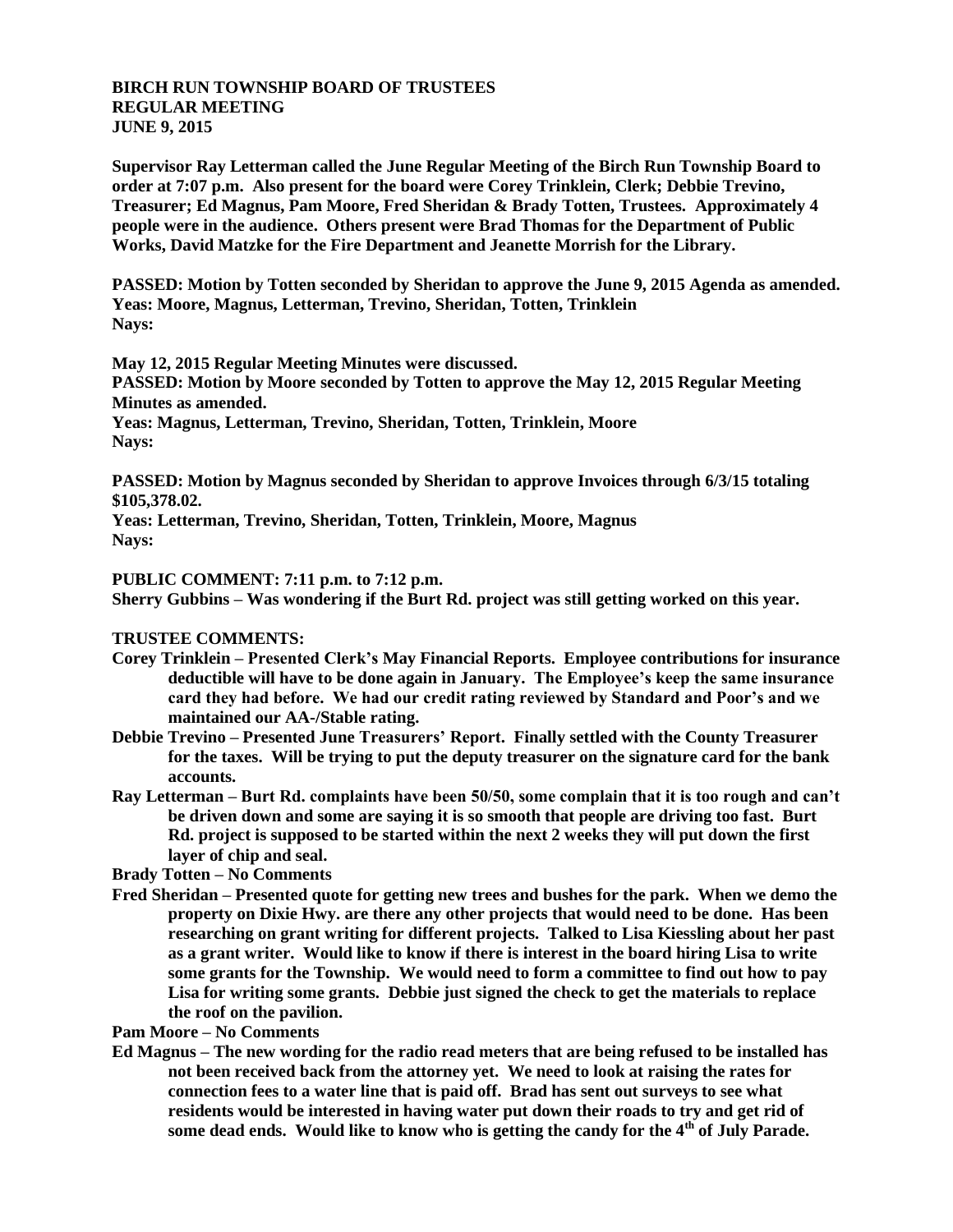## **BIRCH RUN TOWNSHIP BOARD OF TRUSTEES REGULAR MEETING JUNE 9, 2015**

**Supervisor Ray Letterman called the June Regular Meeting of the Birch Run Township Board to order at 7:07 p.m. Also present for the board were Corey Trinklein, Clerk; Debbie Trevino, Treasurer; Ed Magnus, Pam Moore, Fred Sheridan & Brady Totten, Trustees. Approximately 4 people were in the audience. Others present were Brad Thomas for the Department of Public Works, David Matzke for the Fire Department and Jeanette Morrish for the Library.**

**PASSED: Motion by Totten seconded by Sheridan to approve the June 9, 2015 Agenda as amended. Yeas: Moore, Magnus, Letterman, Trevino, Sheridan, Totten, Trinklein Nays:** 

**May 12, 2015 Regular Meeting Minutes were discussed.**

**PASSED: Motion by Moore seconded by Totten to approve the May 12, 2015 Regular Meeting Minutes as amended.**

**Yeas: Magnus, Letterman, Trevino, Sheridan, Totten, Trinklein, Moore Nays:** 

**PASSED: Motion by Magnus seconded by Sheridan to approve Invoices through 6/3/15 totaling \$105,378.02.**

**Yeas: Letterman, Trevino, Sheridan, Totten, Trinklein, Moore, Magnus Nays:** 

## **PUBLIC COMMENT: 7:11 p.m. to 7:12 p.m.**

**Sherry Gubbins – Was wondering if the Burt Rd. project was still getting worked on this year.**

## **TRUSTEE COMMENTS:**

- **Corey Trinklein – Presented Clerk's May Financial Reports. Employee contributions for insurance deductible will have to be done again in January. The Employee's keep the same insurance card they had before. We had our credit rating reviewed by Standard and Poor's and we maintained our AA-/Stable rating.**
- **Debbie Trevino – Presented June Treasurers' Report. Finally settled with the County Treasurer for the taxes. Will be trying to put the deputy treasurer on the signature card for the bank accounts.**
- **Ray Letterman – Burt Rd. complaints have been 50/50, some complain that it is too rough and can't be driven down and some are saying it is so smooth that people are driving too fast. Burt Rd. project is supposed to be started within the next 2 weeks they will put down the first layer of chip and seal.**

**Brady Totten – No Comments**

**Fred Sheridan – Presented quote for getting new trees and bushes for the park. When we demo the property on Dixie Hwy. are there any other projects that would need to be done. Has been researching on grant writing for different projects. Talked to Lisa Kiessling about her past as a grant writer. Would like to know if there is interest in the board hiring Lisa to write some grants for the Township. We would need to form a committee to find out how to pay Lisa for writing some grants. Debbie just signed the check to get the materials to replace the roof on the pavilion.**

**Pam Moore – No Comments**

**Ed Magnus – The new wording for the radio read meters that are being refused to be installed has not been received back from the attorney yet. We need to look at raising the rates for connection fees to a water line that is paid off. Brad has sent out surveys to see what residents would be interested in having water put down their roads to try and get rid of some dead ends. Would like to know who is getting the candy for the 4th of July Parade.**